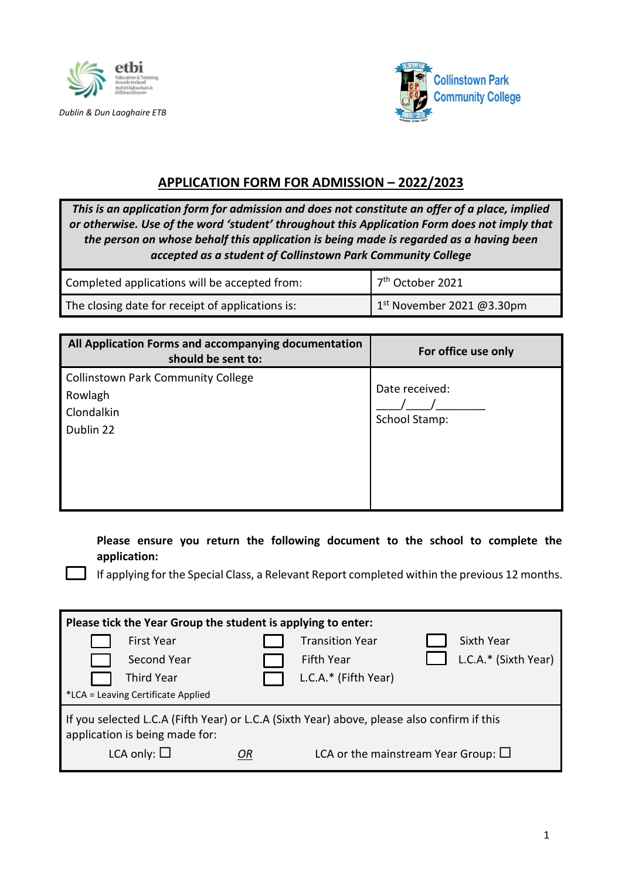

*Dublin & Dun Laoghaire ETB*



# **APPLICATION FORM FOR ADMISSION – 2022/2023**

*This is an application form for admission and does not constitute an offer of a place, implied or otherwise. Use of the word 'student' throughout this Application Form does not imply that the person on whose behalf this application is being made is regarded as a having been accepted as a student of Collinstown Park Community College*

| Completed applications will be accepted from:    | $7th$ October 2021        |
|--------------------------------------------------|---------------------------|
| The closing date for receipt of applications is: | 1st November 2021 @3.30pm |

| All Application Forms and accompanying documentation<br>should be sent to:      | For office use only             |
|---------------------------------------------------------------------------------|---------------------------------|
| <b>Collinstown Park Community College</b><br>Rowlagh<br>Clondalkin<br>Dublin 22 | Date received:<br>School Stamp: |

**Please ensure you return the following document to the school to complete the application:** 

If applying for the Special Class, a Relevant Report completed within the previous 12 months.

| Please tick the Year Group the student is applying to enter:                                                                                                                                              |                                                                                      |  |                                                              |  |                                    |
|-----------------------------------------------------------------------------------------------------------------------------------------------------------------------------------------------------------|--------------------------------------------------------------------------------------|--|--------------------------------------------------------------|--|------------------------------------|
|                                                                                                                                                                                                           | <b>First Year</b><br>Second Year<br>Third Year<br>*LCA = Leaving Certificate Applied |  | <b>Transition Year</b><br>Fifth Year<br>L.C.A.* (Fifth Year) |  | Sixth Year<br>L.C.A.* (Sixth Year) |
| If you selected L.C.A (Fifth Year) or L.C.A (Sixth Year) above, please also confirm if this<br>application is being made for:<br>LCA only: $\square$<br>LCA or the mainstream Year Group: $\square$<br>OR |                                                                                      |  |                                                              |  |                                    |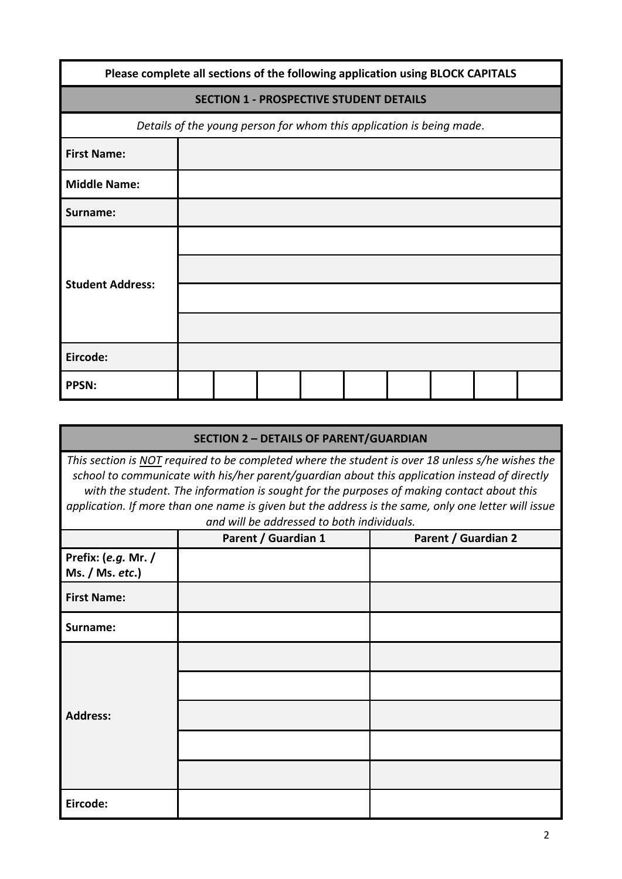| Please complete all sections of the following application using BLOCK CAPITALS |  |  |  |                                                                      |  |  |  |
|--------------------------------------------------------------------------------|--|--|--|----------------------------------------------------------------------|--|--|--|
|                                                                                |  |  |  | <b>SECTION 1 - PROSPECTIVE STUDENT DETAILS</b>                       |  |  |  |
|                                                                                |  |  |  | Details of the young person for whom this application is being made. |  |  |  |
| <b>First Name:</b>                                                             |  |  |  |                                                                      |  |  |  |
| <b>Middle Name:</b>                                                            |  |  |  |                                                                      |  |  |  |
| Surname:                                                                       |  |  |  |                                                                      |  |  |  |
| <b>Student Address:</b>                                                        |  |  |  |                                                                      |  |  |  |
|                                                                                |  |  |  |                                                                      |  |  |  |
| Eircode:                                                                       |  |  |  |                                                                      |  |  |  |
| <b>PPSN:</b>                                                                   |  |  |  |                                                                      |  |  |  |

|                                                                                                                                                                                                                                                                                                                                                                                                                                                     | <b>SECTION 2 - DETAILS OF PARENT/GUARDIAN</b> |                            |  |  |  |
|-----------------------------------------------------------------------------------------------------------------------------------------------------------------------------------------------------------------------------------------------------------------------------------------------------------------------------------------------------------------------------------------------------------------------------------------------------|-----------------------------------------------|----------------------------|--|--|--|
| This section is NOT required to be completed where the student is over 18 unless s/he wishes the<br>school to communicate with his/her parent/guardian about this application instead of directly<br>with the student. The information is sought for the purposes of making contact about this<br>application. If more than one name is given but the address is the same, only one letter will issue<br>and will be addressed to both individuals. |                                               |                            |  |  |  |
|                                                                                                                                                                                                                                                                                                                                                                                                                                                     | Parent / Guardian 1                           | <b>Parent / Guardian 2</b> |  |  |  |
| Prefix: (e.g. Mr. /<br>Ms. / Ms. etc.                                                                                                                                                                                                                                                                                                                                                                                                               |                                               |                            |  |  |  |
| <b>First Name:</b>                                                                                                                                                                                                                                                                                                                                                                                                                                  |                                               |                            |  |  |  |
| Surname:                                                                                                                                                                                                                                                                                                                                                                                                                                            |                                               |                            |  |  |  |
|                                                                                                                                                                                                                                                                                                                                                                                                                                                     |                                               |                            |  |  |  |
|                                                                                                                                                                                                                                                                                                                                                                                                                                                     |                                               |                            |  |  |  |
| <b>Address:</b>                                                                                                                                                                                                                                                                                                                                                                                                                                     |                                               |                            |  |  |  |
|                                                                                                                                                                                                                                                                                                                                                                                                                                                     |                                               |                            |  |  |  |
|                                                                                                                                                                                                                                                                                                                                                                                                                                                     |                                               |                            |  |  |  |
| Eircode:                                                                                                                                                                                                                                                                                                                                                                                                                                            |                                               |                            |  |  |  |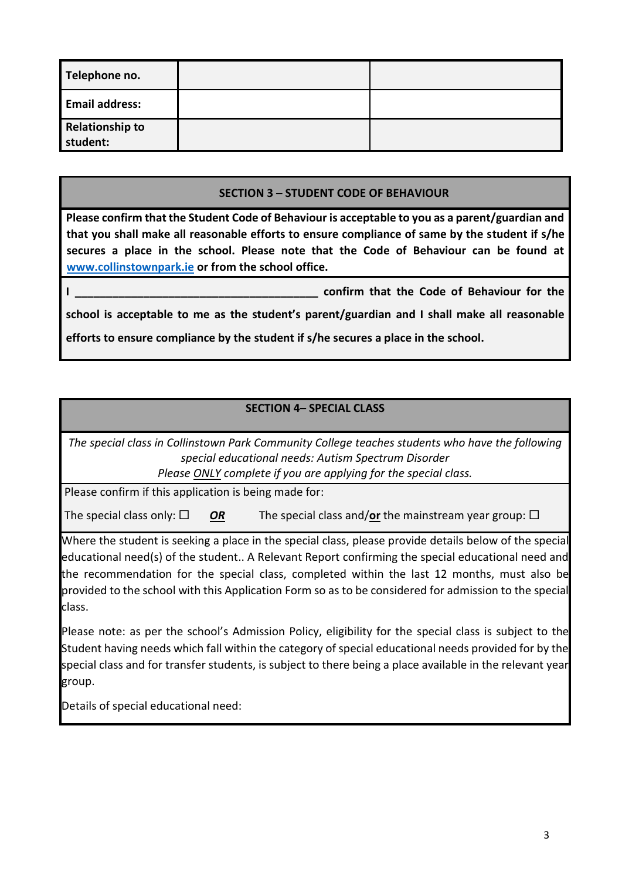| Telephone no.                      |  |
|------------------------------------|--|
| <b>Email address:</b>              |  |
| <b>Relationship to</b><br>student: |  |

#### **SECTION 3 – STUDENT CODE OF BEHAVIOUR**

**Please confirm that the Student Code of Behaviour is acceptable to you as a parent/guardian and that you shall make all reasonable efforts to ensure compliance of same by the student if s/he secures a place in the school. Please note that the Code of Behaviour can be found at [www.collinstownpark.ie](http://www.collinstownpark.ie/) or from the school office.**

confirm that the Code of Behaviour for the **school is acceptable to me as the student's parent/guardian and I shall make all reasonable efforts to ensure compliance by the student if s/he secures a place in the school.**

#### **SECTION 4– SPECIAL CLASS**

*The special class in Collinstown Park Community College teaches students who have the following special educational needs: Autism Spectrum Disorder* 

*Please ONLY complete if you are applying for the special class.*

Please confirm if this application is being made for:

The special class only:  $\Box$  **OR** The special class and/or the mainstream year group:  $\Box$ 

Where the student is seeking a place in the special class, please provide details below of the special educational need(s) of the student.. A Relevant Report confirming the special educational need and the recommendation for the special class, completed within the last 12 months, must also be provided to the school with this Application Form so as to be considered for admission to the special class.

Please note: as per the school's Admission Policy, eligibility for the special class is subject to the Student having needs which fall within the category of special educational needs provided for by the special class and for transfer students, is subject to there being a place available in the relevant year group.

Details of special educational need: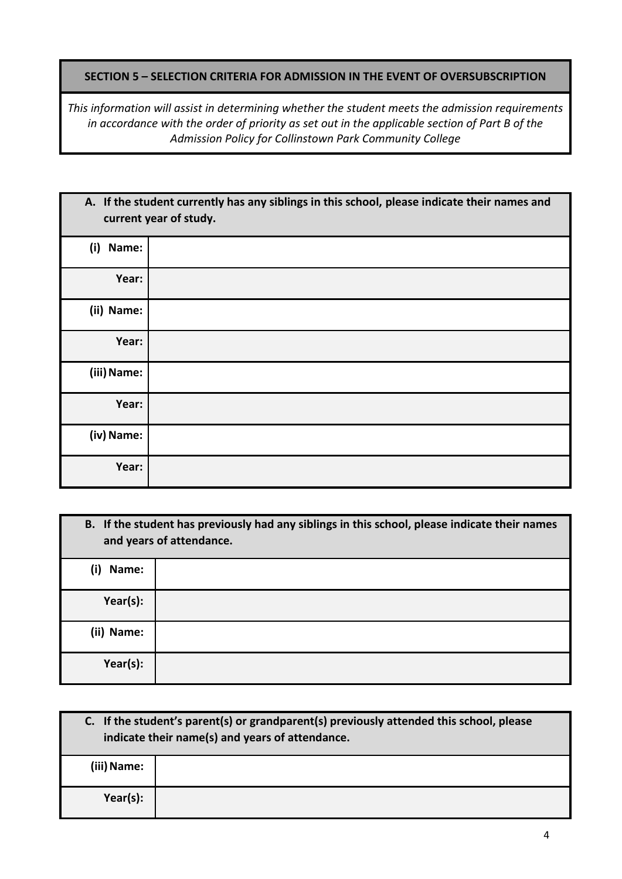### **SECTION 5 – SELECTION CRITERIA FOR ADMISSION IN THE EVENT OF OVERSUBSCRIPTION**

*This information will assist in determining whether the student meets the admission requirements in accordance with the order of priority as set out in the applicable section of Part B of the Admission Policy for Collinstown Park Community College*

| A. If the student currently has any siblings in this school, please indicate their names and<br>current year of study. |  |  |  |  |
|------------------------------------------------------------------------------------------------------------------------|--|--|--|--|
| (i)<br>Name:                                                                                                           |  |  |  |  |
| Year:                                                                                                                  |  |  |  |  |
| (ii) Name:                                                                                                             |  |  |  |  |
| Year:                                                                                                                  |  |  |  |  |
| (iii) Name:                                                                                                            |  |  |  |  |
| Year:                                                                                                                  |  |  |  |  |
| (iv) Name:                                                                                                             |  |  |  |  |
| Year:                                                                                                                  |  |  |  |  |

| B. If the student has previously had any siblings in this school, please indicate their names<br>and years of attendance. |  |  |  |
|---------------------------------------------------------------------------------------------------------------------------|--|--|--|
| (i)<br>Name:                                                                                                              |  |  |  |
| Year(s):                                                                                                                  |  |  |  |
| (ii) Name:                                                                                                                |  |  |  |
| Year(s):                                                                                                                  |  |  |  |

| C. If the student's parent(s) or grandparent(s) previously attended this school, please<br>indicate their name(s) and years of attendance. |  |  |
|--------------------------------------------------------------------------------------------------------------------------------------------|--|--|
| (iii) Name:                                                                                                                                |  |  |
| Year(s):                                                                                                                                   |  |  |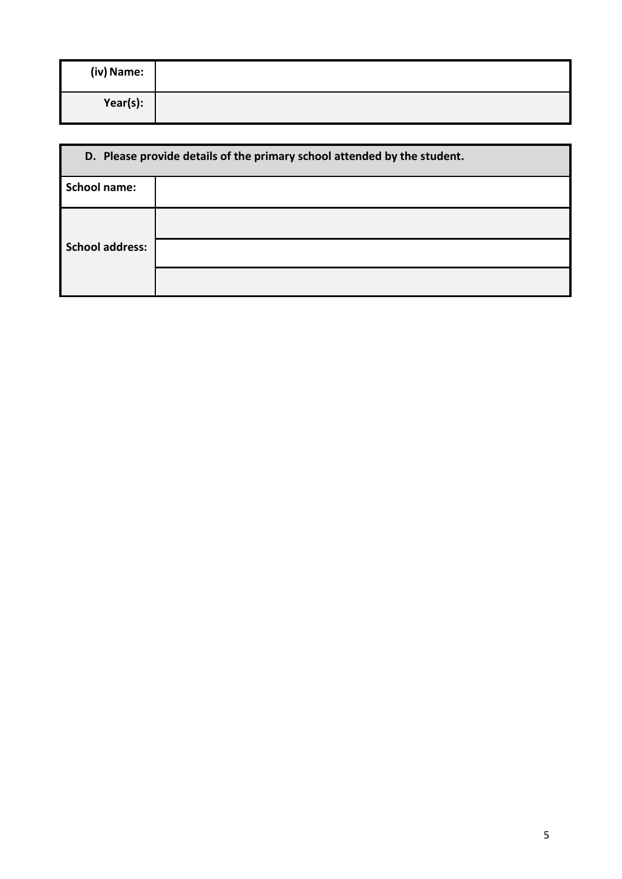| (iv) Name: |  |
|------------|--|
| Year(s):   |  |

| D. Please provide details of the primary school attended by the student. |  |  |  |
|--------------------------------------------------------------------------|--|--|--|
| <b>School name:</b>                                                      |  |  |  |
|                                                                          |  |  |  |
| <b>School address:</b>                                                   |  |  |  |
|                                                                          |  |  |  |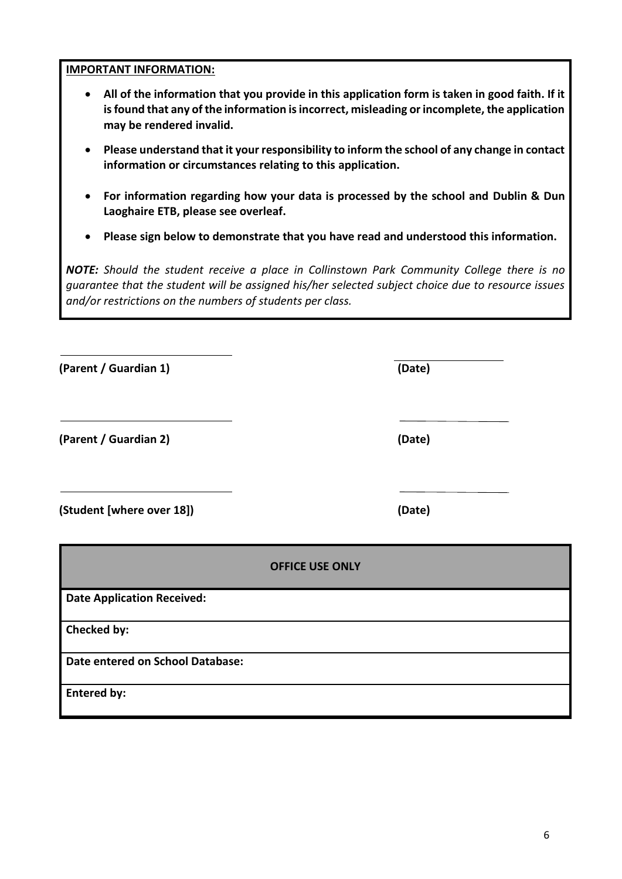## **IMPORTANT INFORMATION:**

- **All of the information that you provide in this application form is taken in good faith. If it isfound that any of the information is incorrect, misleading or incomplete, the application may be rendered invalid.**
- **Please understand that it your responsibility to inform the school of any change in contact information or circumstances relating to this application.**
- **For information regarding how your data is processed by the school and Dublin & Dun Laoghaire ETB, please see overleaf.**
- **Please sign below to demonstrate that you have read and understood this information.**

*NOTE: Should the student receive a place in Collinstown Park Community College there is no guarantee that the student will be assigned his/her selected subject choice due to resource issues and/or restrictions on the numbers of students per class.*

| (Parent / Guardian 1)             | (Date)                 |
|-----------------------------------|------------------------|
| (Parent / Guardian 2)             | (Date)                 |
| (Student [where over 18])         | (Date)                 |
|                                   | <b>OFFICE USE ONLY</b> |
| <b>Date Application Received:</b> |                        |
| Checked by:                       |                        |
| Date entered on School Database:  |                        |
| <b>Entered by:</b>                |                        |